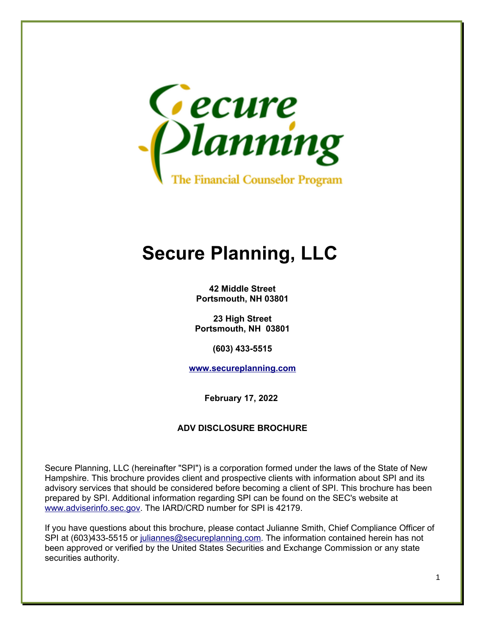

# **Secure Planning, LLC**

**42 Middle Street Portsmouth, NH 03801**

**23 High Street Portsmouth, NH 03801**

**(603) 433-5515**

**[www.secureplanning.com](http://www.secureplanning.com/)**

**February 17, 2022**

#### **ADV DISCLOSURE BROCHURE**

Secure Planning, LLC (hereinafter "SPI") is a corporation formed under the laws of the State of New Hampshire. This brochure provides client and prospective clients with information about SPI and its advisory services that should be considered before becoming a client of SPI. This brochure has been prepared by SPI. Additional information regarding SPI can be found on the SEC's website at [www.adviserinfo.sec.gov.](http://www.adviserinfo.sec.gov/) The IARD/CRD number for SPI is 42179.

If you have questions about this brochure, please contact Julianne Smith, Chief Compliance Officer of SPI at (603)433-5515 or [juliannes@secureplanning.com.](mailto:juliannes@secureplanninginc.com) The information contained herein has not been approved or verified by the United States Securities and Exchange Commission or any state securities authority.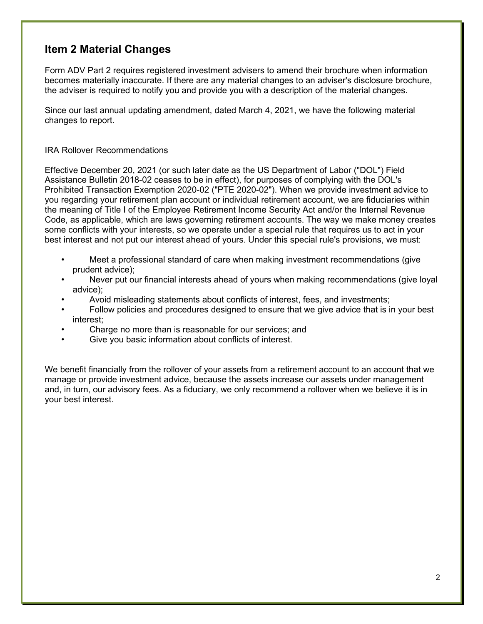### **Item 2 Material Changes**

Form ADV Part 2 requires registered investment advisers to amend their brochure when information becomes materially inaccurate. If there are any material changes to an adviser's disclosure brochure, the adviser is required to notify you and provide you with a description of the material changes.

Since our last annual updating amendment, dated March 4, 2021, we have the following material changes to report.

#### IRA Rollover Recommendations

Effective December 20, 2021 (or such later date as the US Department of Labor ("DOL") Field Assistance Bulletin 2018-02 ceases to be in effect), for purposes of complying with the DOL's Prohibited Transaction Exemption 2020-02 ("PTE 2020-02"). When we provide investment advice to you regarding your retirement plan account or individual retirement account, we are fiduciaries within the meaning of Title I of the Employee Retirement Income Security Act and/or the Internal Revenue Code, as applicable, which are laws governing retirement accounts. The way we make money creates some conflicts with your interests, so we operate under a special rule that requires us to act in your best interest and not put our interest ahead of yours. Under this special rule's provisions, we must:

- Meet a professional standard of care when making investment recommendations (give prudent advice);
- Never put our financial interests ahead of yours when making recommendations (give loyal advice);
- Avoid misleading statements about conflicts of interest, fees, and investments;
- Follow policies and procedures designed to ensure that we give advice that is in your best interest;
- Charge no more than is reasonable for our services; and
- Give you basic information about conflicts of interest.

We benefit financially from the rollover of your assets from a retirement account to an account that we manage or provide investment advice, because the assets increase our assets under management and, in turn, our advisory fees. As a fiduciary, we only recommend a rollover when we believe it is in your best interest.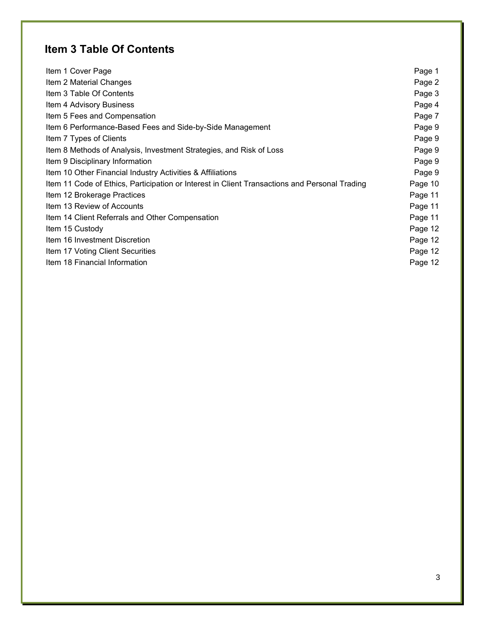# **Item 3 Table Of Contents**

| Item 1 Cover Page                                                                             | Page 1  |
|-----------------------------------------------------------------------------------------------|---------|
| Item 2 Material Changes                                                                       | Page 2  |
| Item 3 Table Of Contents                                                                      | Page 3  |
| Item 4 Advisory Business                                                                      | Page 4  |
| Item 5 Fees and Compensation                                                                  | Page 7  |
| Item 6 Performance-Based Fees and Side-by-Side Management                                     | Page 9  |
| Item 7 Types of Clients                                                                       | Page 9  |
| Item 8 Methods of Analysis, Investment Strategies, and Risk of Loss                           | Page 9  |
| Item 9 Disciplinary Information                                                               | Page 9  |
| Item 10 Other Financial Industry Activities & Affiliations                                    | Page 9  |
| Item 11 Code of Ethics, Participation or Interest in Client Transactions and Personal Trading | Page 10 |
| Item 12 Brokerage Practices                                                                   | Page 11 |
| Item 13 Review of Accounts                                                                    | Page 11 |
| Item 14 Client Referrals and Other Compensation                                               | Page 11 |
| Item 15 Custody                                                                               | Page 12 |
| Item 16 Investment Discretion                                                                 | Page 12 |
| Item 17 Voting Client Securities                                                              | Page 12 |
| Item 18 Financial Information                                                                 | Page 12 |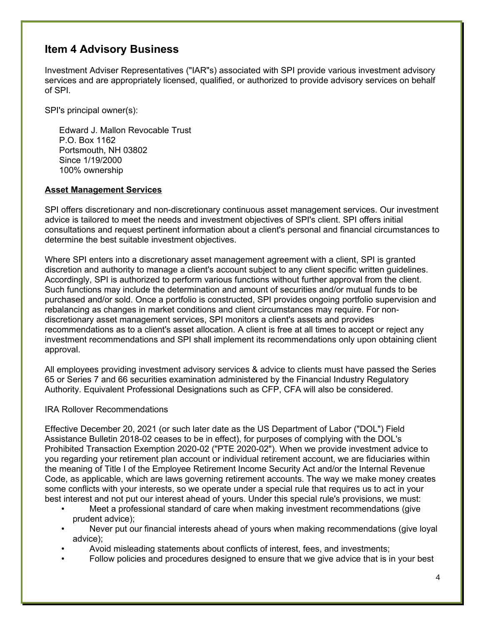### **Item 4 Advisory Business**

Investment Adviser Representatives ("IAR"s) associated with SPI provide various investment advisory services and are appropriately licensed, qualified, or authorized to provide advisory services on behalf of SPI.

SPI's principal owner(s):

Edward J. Mallon Revocable Trust P.O. Box 1162 Portsmouth, NH 03802 Since 1/19/2000 100% ownership

#### **Asset Management Services**

SPI offers discretionary and non-discretionary continuous asset management services. Our investment advice is tailored to meet the needs and investment objectives of SPI's client. SPI offers initial consultations and request pertinent information about a client's personal and financial circumstances to determine the best suitable investment objectives.

Where SPI enters into a discretionary asset management agreement with a client, SPI is granted discretion and authority to manage a client's account subject to any client specific written guidelines. Accordingly, SPI is authorized to perform various functions without further approval from the client. Such functions may include the determination and amount of securities and/or mutual funds to be purchased and/or sold. Once a portfolio is constructed, SPI provides ongoing portfolio supervision and rebalancing as changes in market conditions and client circumstances may require. For nondiscretionary asset management services, SPI monitors a client's assets and provides recommendations as to a client's asset allocation. A client is free at all times to accept or reject any investment recommendations and SPI shall implement its recommendations only upon obtaining client approval.

All employees providing investment advisory services & advice to clients must have passed the Series 65 or Series 7 and 66 securities examination administered by the Financial Industry Regulatory Authority. Equivalent Professional Designations such as CFP, CFA will also be considered.

#### IRA Rollover Recommendations

Effective December 20, 2021 (or such later date as the US Department of Labor ("DOL") Field Assistance Bulletin 2018-02 ceases to be in effect), for purposes of complying with the DOL's Prohibited Transaction Exemption 2020-02 ("PTE 2020-02"). When we provide investment advice to you regarding your retirement plan account or individual retirement account, we are fiduciaries within the meaning of Title I of the Employee Retirement Income Security Act and/or the Internal Revenue Code, as applicable, which are laws governing retirement accounts. The way we make money creates some conflicts with your interests, so we operate under a special rule that requires us to act in your best interest and not put our interest ahead of yours. Under this special rule's provisions, we must:

- Meet a professional standard of care when making investment recommendations (give prudent advice);
- Never put our financial interests ahead of yours when making recommendations (give loyal advice);
- Avoid misleading statements about conflicts of interest, fees, and investments;
- Follow policies and procedures designed to ensure that we give advice that is in your best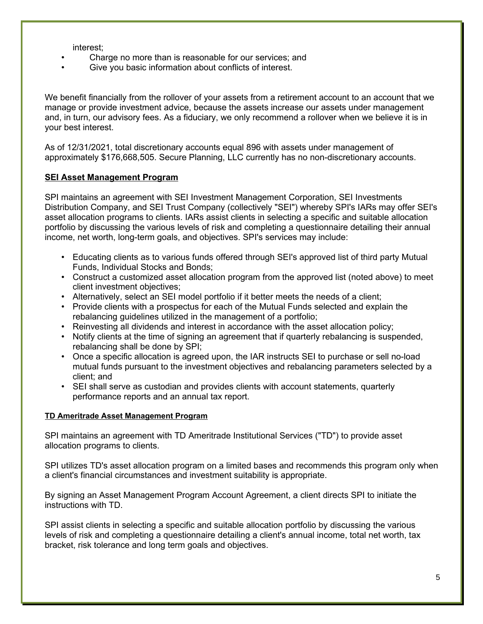interest;

- Charge no more than is reasonable for our services; and
- Give you basic information about conflicts of interest.

We benefit financially from the rollover of your assets from a retirement account to an account that we manage or provide investment advice, because the assets increase our assets under management and, in turn, our advisory fees. As a fiduciary, we only recommend a rollover when we believe it is in your best interest.

As of 12/31/2021, total discretionary accounts equal 896 with assets under management of approximately \$176,668,505. Secure Planning, LLC currently has no non-discretionary accounts.

#### **SEI Asset Management Program**

SPI maintains an agreement with SEI Investment Management Corporation, SEI Investments Distribution Company, and SEI Trust Company (collectively "SEI") whereby SPI's IARs may offer SEI's asset allocation programs to clients. IARs assist clients in selecting a specific and suitable allocation portfolio by discussing the various levels of risk and completing a questionnaire detailing their annual income, net worth, long-term goals, and objectives. SPI's services may include:

- Educating clients as to various funds offered through SEI's approved list of third party Mutual Funds, Individual Stocks and Bonds;
- Construct a customized asset allocation program from the approved list (noted above) to meet client investment objectives;
- Alternatively, select an SEI model portfolio if it better meets the needs of a client;
- Provide clients with a prospectus for each of the Mutual Funds selected and explain the rebalancing guidelines utilized in the management of a portfolio;
- Reinvesting all dividends and interest in accordance with the asset allocation policy;
- Notify clients at the time of signing an agreement that if quarterly rebalancing is suspended, rebalancing shall be done by SPI;
- Once a specific allocation is agreed upon, the IAR instructs SEI to purchase or sell no-load mutual funds pursuant to the investment objectives and rebalancing parameters selected by a client; and
- SEI shall serve as custodian and provides clients with account statements, quarterly performance reports and an annual tax report.

#### **TD Ameritrade Asset Management Program**

SPI maintains an agreement with TD Ameritrade Institutional Services ("TD") to provide asset allocation programs to clients.

SPI utilizes TD's asset allocation program on a limited bases and recommends this program only when a client's financial circumstances and investment suitability is appropriate.

By signing an Asset Management Program Account Agreement, a client directs SPI to initiate the instructions with TD.

SPI assist clients in selecting a specific and suitable allocation portfolio by discussing the various levels of risk and completing a questionnaire detailing a client's annual income, total net worth, tax bracket, risk tolerance and long term goals and objectives.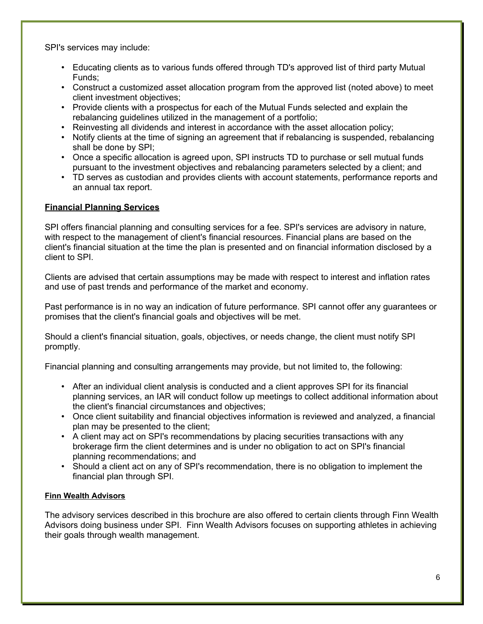SPI's services may include:

- Educating clients as to various funds offered through TD's approved list of third party Mutual Funds;
- Construct a customized asset allocation program from the approved list (noted above) to meet client investment objectives;
- Provide clients with a prospectus for each of the Mutual Funds selected and explain the rebalancing guidelines utilized in the management of a portfolio;
- Reinvesting all dividends and interest in accordance with the asset allocation policy;
- Notify clients at the time of signing an agreement that if rebalancing is suspended, rebalancing shall be done by SPI;
- Once a specific allocation is agreed upon, SPI instructs TD to purchase or sell mutual funds pursuant to the investment objectives and rebalancing parameters selected by a client; and
- TD serves as custodian and provides clients with account statements, performance reports and an annual tax report.

#### **Financial Planning Services**

SPI offers financial planning and consulting services for a fee. SPI's services are advisory in nature, with respect to the management of client's financial resources. Financial plans are based on the client's financial situation at the time the plan is presented and on financial information disclosed by a client to SPI.

Clients are advised that certain assumptions may be made with respect to interest and inflation rates and use of past trends and performance of the market and economy.

Past performance is in no way an indication of future performance. SPI cannot offer any guarantees or promises that the client's financial goals and objectives will be met.

Should a client's financial situation, goals, objectives, or needs change, the client must notify SPI promptly.

Financial planning and consulting arrangements may provide, but not limited to, the following:

- After an individual client analysis is conducted and a client approves SPI for its financial planning services, an IAR will conduct follow up meetings to collect additional information about the client's financial circumstances and objectives;
- Once client suitability and financial objectives information is reviewed and analyzed, a financial plan may be presented to the client;
- A client may act on SPI's recommendations by placing securities transactions with any brokerage firm the client determines and is under no obligation to act on SPI's financial planning recommendations; and
- Should a client act on any of SPI's recommendation, there is no obligation to implement the financial plan through SPI.

#### **Finn Wealth Advisors**

The advisory services described in this brochure are also offered to certain clients through Finn Wealth Advisors doing business under SPI. Finn Wealth Advisors focuses on supporting athletes in achieving their goals through wealth management.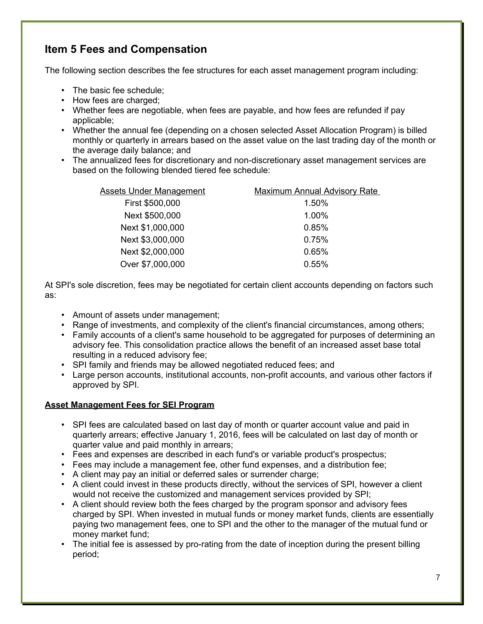# **Item 5 Fees and Compensation**

The following section describes the fee structures for each asset management program including:

- The basic fee schedule;
- How fees are charged;
- Whether fees are negotiable, when fees are payable, and how fees are refunded if pay applicable;
- Whether the annual fee (depending on a chosen selected Asset Allocation Program) is billed monthly or quarterly in arrears based on the asset value on the last trading day of the month or the average daily balance; and
- The annualized fees for discretionary and non-discretionary asset management services are based on the following blended tiered fee schedule:

| <b>Assets Under Management</b> | <b>Maximum Annual Advisory Rate</b> |
|--------------------------------|-------------------------------------|
| First \$500,000                | 1.50%                               |
| Next \$500,000                 | 1.00%                               |
| Next \$1,000,000               | 0.85%                               |
| Next \$3,000,000               | 0.75%                               |
| Next \$2,000,000               | 0.65%                               |
| Over \$7,000,000               | 0.55%                               |

At SPI's sole discretion, fees may be negotiated for certain client accounts depending on factors such as:

- Amount of assets under management;
- Range of investments, and complexity of the client's financial circumstances, among others;
- Family accounts of a client's same household to be aggregated for purposes of determining an advisory fee. This consolidation practice allows the benefit of an increased asset base total resulting in a reduced advisory fee;
- SPI family and friends may be allowed negotiated reduced fees; and
- Large person accounts, institutional accounts, non-profit accounts, and various other factors if approved by SPI.

#### **Asset Management Fees for SEI Program**

- SPI fees are calculated based on last day of month or quarter account value and paid in quarterly arrears; effective January 1, 2016, fees will be calculated on last day of month or quarter value and paid monthly in arrears;
- Fees and expenses are described in each fund's or variable product's prospectus;
- Fees may include a management fee, other fund expenses, and a distribution fee;
- A client may pay an initial or deferred sales or surrender charge;
- A client could invest in these products directly, without the services of SPI, however a client would not receive the customized and management services provided by SPI;
- A client should review both the fees charged by the program sponsor and advisory fees charged by SPI. When invested in mutual funds or money market funds, clients are essentially paying two management fees, one to SPI and the other to the manager of the mutual fund or money market fund;
- The initial fee is assessed by pro-rating from the date of inception during the present billing period;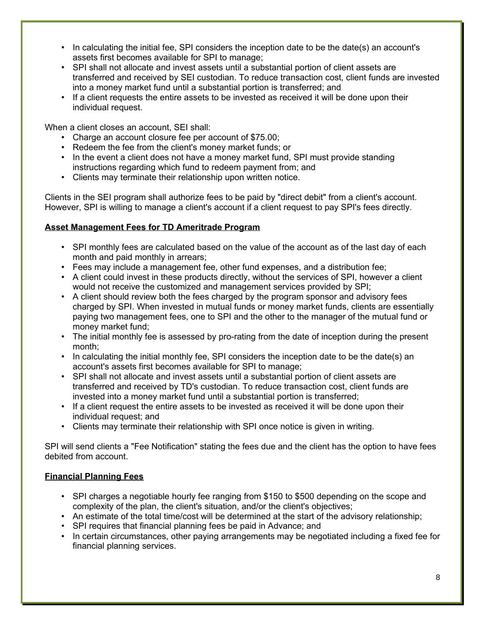- In calculating the initial fee, SPI considers the inception date to be the date(s) an account's assets first becomes available for SPI to manage;
- SPI shall not allocate and invest assets until a substantial portion of client assets are transferred and received by SEI custodian. To reduce transaction cost, client funds are invested into a money market fund until a substantial portion is transferred; and
- If a client requests the entire assets to be invested as received it will be done upon their individual request.

When a client closes an account, SEI shall:

- Charge an account closure fee per account of \$75.00;
- Redeem the fee from the client's money market funds; or
- In the event a client does not have a money market fund, SPI must provide standing instructions regarding which fund to redeem payment from; and
- Clients may terminate their relationship upon written notice.

Clients in the SEI program shall authorize fees to be paid by "direct debit" from a client's account. However, SPI is willing to manage a client's account if a client request to pay SPI's fees directly.

#### **Asset Management Fees for TD Ameritrade Program**

- SPI monthly fees are calculated based on the value of the account as of the last day of each month and paid monthly in arrears;
- Fees may include a management fee, other fund expenses, and a distribution fee;
- A client could invest in these products directly, without the services of SPI, however a client would not receive the customized and management services provided by SPI;
- A client should review both the fees charged by the program sponsor and advisory fees charged by SPI. When invested in mutual funds or money market funds, clients are essentially paying two management fees, one to SPI and the other to the manager of the mutual fund or money market fund;
- The initial monthly fee is assessed by pro-rating from the date of inception during the present month;
- In calculating the initial monthly fee, SPI considers the inception date to be the date(s) an account's assets first becomes available for SPI to manage;
- SPI shall not allocate and invest assets until a substantial portion of client assets are transferred and received by TD's custodian. To reduce transaction cost, client funds are invested into a money market fund until a substantial portion is transferred;
- If a client request the entire assets to be invested as received it will be done upon their individual request; and
- Clients may terminate their relationship with SPI once notice is given in writing.

SPI will send clients a "Fee Notification" stating the fees due and the client has the option to have fees debited from account.

#### **Financial Planning Fees**

- SPI charges a negotiable hourly fee ranging from \$150 to \$500 depending on the scope and complexity of the plan, the client's situation, and/or the client's objectives;
- An estimate of the total time/cost will be determined at the start of the advisory relationship;
- SPI requires that financial planning fees be paid in Advance; and
- In certain circumstances, other paying arrangements may be negotiated including a fixed fee for financial planning services.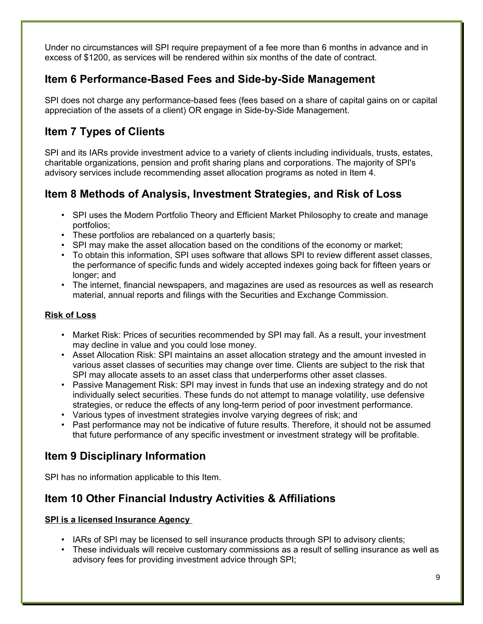Under no circumstances will SPI require prepayment of a fee more than 6 months in advance and in excess of \$1200, as services will be rendered within six months of the date of contract.

### **Item 6 Performance-Based Fees and Side-by-Side Management**

SPI does not charge any performance-based fees (fees based on a share of capital gains on or capital appreciation of the assets of a client) OR engage in Side-by-Side Management.

# **Item 7 Types of Clients**

SPI and its IARs provide investment advice to a variety of clients including individuals, trusts, estates, charitable organizations, pension and profit sharing plans and corporations. The majority of SPI's advisory services include recommending asset allocation programs as noted in Item 4.

# **Item 8 Methods of Analysis, Investment Strategies, and Risk of Loss**

- SPI uses the Modern Portfolio Theory and Efficient Market Philosophy to create and manage portfolios;
- These portfolios are rebalanced on a quarterly basis;
- SPI may make the asset allocation based on the conditions of the economy or market;
- To obtain this information, SPI uses software that allows SPI to review different asset classes, the performance of specific funds and widely accepted indexes going back for fifteen years or longer; and
- The internet, financial newspapers, and magazines are used as resources as well as research material, annual reports and filings with the Securities and Exchange Commission.

#### **Risk of Loss**

- Market Risk: Prices of securities recommended by SPI may fall. As a result, your investment may decline in value and you could lose money.
- Asset Allocation Risk: SPI maintains an asset allocation strategy and the amount invested in various asset classes of securities may change over time. Clients are subject to the risk that SPI may allocate assets to an asset class that underperforms other asset classes.
- Passive Management Risk: SPI may invest in funds that use an indexing strategy and do not individually select securities. These funds do not attempt to manage volatility, use defensive strategies, or reduce the effects of any long-term period of poor investment performance.
- Various types of investment strategies involve varying degrees of risk; and
- Past performance may not be indicative of future results. Therefore, it should not be assumed that future performance of any specific investment or investment strategy will be profitable.

# **Item 9 Disciplinary Information**

SPI has no information applicable to this Item.

# **Item 10 Other Financial Industry Activities & Affiliations**

#### **SPI is a licensed Insurance Agency**

- IARs of SPI may be licensed to sell insurance products through SPI to advisory clients;
- These individuals will receive customary commissions as a result of selling insurance as well as advisory fees for providing investment advice through SPI;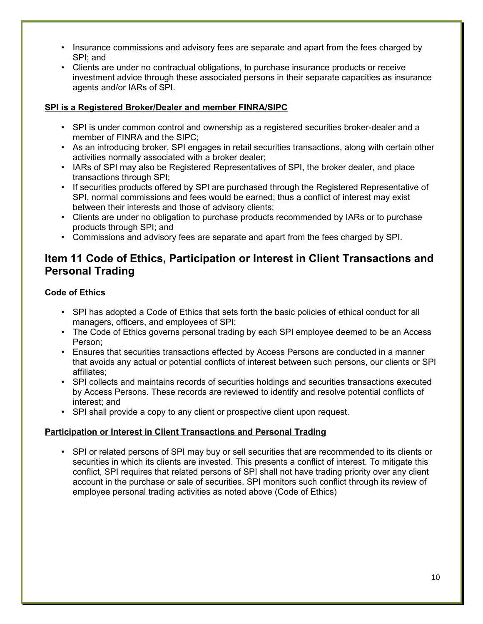- Insurance commissions and advisory fees are separate and apart from the fees charged by SPI; and
- Clients are under no contractual obligations, to purchase insurance products or receive investment advice through these associated persons in their separate capacities as insurance agents and/or IARs of SPI.

#### **SPI is a Registered Broker/Dealer and member FINRA/SIPC**

- SPI is under common control and ownership as a registered securities broker-dealer and a member of FINRA and the SIPC;
- As an introducing broker, SPI engages in retail securities transactions, along with certain other activities normally associated with a broker dealer;
- IARs of SPI may also be Registered Representatives of SPI, the broker dealer, and place transactions through SPI;
- If securities products offered by SPI are purchased through the Registered Representative of SPI, normal commissions and fees would be earned; thus a conflict of interest may exist between their interests and those of advisory clients;
- Clients are under no obligation to purchase products recommended by IARs or to purchase products through SPI; and
- Commissions and advisory fees are separate and apart from the fees charged by SPI.

### **Item 11 Code of Ethics, Participation or Interest in Client Transactions and Personal Trading**

#### **Code of Ethics**

- SPI has adopted a Code of Ethics that sets forth the basic policies of ethical conduct for all managers, officers, and employees of SPI;
- The Code of Ethics governs personal trading by each SPI employee deemed to be an Access Person;
- Ensures that securities transactions effected by Access Persons are conducted in a manner that avoids any actual or potential conflicts of interest between such persons, our clients or SPI affiliates;
- SPI collects and maintains records of securities holdings and securities transactions executed by Access Persons. These records are reviewed to identify and resolve potential conflicts of interest; and
- SPI shall provide a copy to any client or prospective client upon request.

#### **Participation or Interest in Client Transactions and Personal Trading**

• SPI or related persons of SPI may buy or sell securities that are recommended to its clients or securities in which its clients are invested. This presents a conflict of interest. To mitigate this conflict, SPI requires that related persons of SPI shall not have trading priority over any client account in the purchase or sale of securities. SPI monitors such conflict through its review of employee personal trading activities as noted above (Code of Ethics)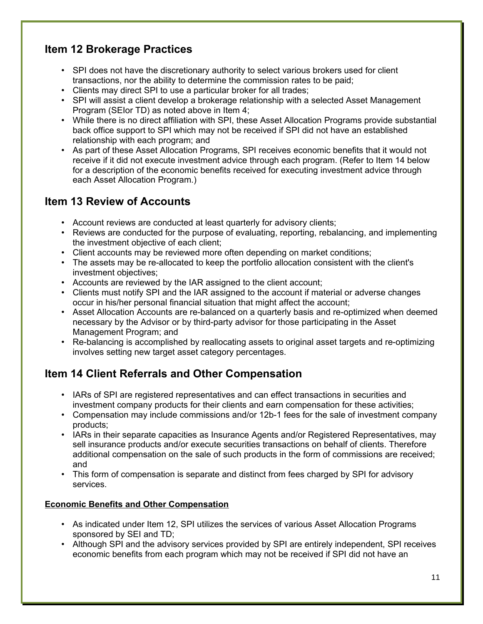# **Item 12 Brokerage Practices**

- SPI does not have the discretionary authority to select various brokers used for client transactions, nor the ability to determine the commission rates to be paid;
- Clients may direct SPI to use a particular broker for all trades;
- SPI will assist a client develop a brokerage relationship with a selected Asset Management Program (SEIor TD) as noted above in Item 4;
- While there is no direct affiliation with SPI, these Asset Allocation Programs provide substantial back office support to SPI which may not be received if SPI did not have an established relationship with each program; and
- As part of these Asset Allocation Programs, SPI receives economic benefits that it would not receive if it did not execute investment advice through each program. (Refer to Item 14 below for a description of the economic benefits received for executing investment advice through each Asset Allocation Program.)

### **Item 13 Review of Accounts**

- Account reviews are conducted at least quarterly for advisory clients;
- Reviews are conducted for the purpose of evaluating, reporting, rebalancing, and implementing the investment objective of each client;
- Client accounts may be reviewed more often depending on market conditions;
- The assets may be re-allocated to keep the portfolio allocation consistent with the client's investment objectives;
- Accounts are reviewed by the IAR assigned to the client account;
- Clients must notify SPI and the IAR assigned to the account if material or adverse changes occur in his/her personal financial situation that might affect the account;
- Asset Allocation Accounts are re-balanced on a quarterly basis and re-optimized when deemed necessary by the Advisor or by third-party advisor for those participating in the Asset Management Program; and
- Re-balancing is accomplished by reallocating assets to original asset targets and re-optimizing involves setting new target asset category percentages.

# **Item 14 Client Referrals and Other Compensation**

- IARs of SPI are registered representatives and can effect transactions in securities and investment company products for their clients and earn compensation for these activities;
- Compensation may include commissions and/or 12b-1 fees for the sale of investment company products;
- IARs in their separate capacities as Insurance Agents and/or Registered Representatives, may sell insurance products and/or execute securities transactions on behalf of clients. Therefore additional compensation on the sale of such products in the form of commissions are received; and
- This form of compensation is separate and distinct from fees charged by SPI for advisory services.

#### **Economic Benefits and Other Compensation**

- As indicated under Item 12, SPI utilizes the services of various Asset Allocation Programs sponsored by SEI and TD;
- Although SPI and the advisory services provided by SPI are entirely independent, SPI receives economic benefits from each program which may not be received if SPI did not have an